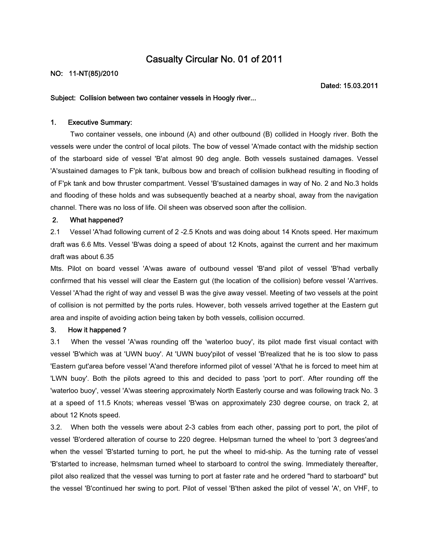# **Casualty Circular No. 01 of 2011**

## **NO: 11-NT(85)/2010**

**Dated: 15.03.2011**

#### **Subject: Collision between two container vessels in Hoogly river...**

#### **1. Executive Summary:**

Two container vessels, one inbound (A) and other outbound (B) collided in Hoogly river. Both the vessels were under the control of local pilots. The bow of vessel 'A'made contact with the midship section of the starboard side of vessel 'B'at almost 90 deg angle. Both vessels sustained damages. Vessel 'A'sustained damages to F'pk tank, bulbous bow and breach of collision bulkhead resulting in flooding of of F'pk tank and bow thruster compartment. Vessel 'B'sustained damages in way of No. 2 and No.3 holds and flooding of these holds and was subsequently beached at a nearby shoal, away from the navigation channel. There was no loss of life. Oil sheen was observed soon after the collision.

## **2. What happened?**

2.1 Vessel 'A'had following current of 2 -2.5 Knots and was doing about 14 Knots speed. Her maximum draft was 6.6 Mts. Vessel 'B'was doing a speed of about 12 Knots, against the current and her maximum draft was about 6.35

Mts. Pilot on board vessel 'A'was aware of outbound vessel 'B'and pilot of vessel 'B'had verbally confirmed that his vessel will clear the Eastern gut (the location of the collision) before vessel 'A'arrives. Vessel 'A'had the right of way and vessel B was the give away vessel. Meeting of two vessels at the point of collision is not permitted by the ports rules. However, both vessels arrived together at the Eastern gut area and inspite of avoiding action being taken by both vessels, collision occurred.

## **3. How it happened ?**

3.1 When the vessel 'A'was rounding off the 'waterloo buoy', its pilot made first visual contact with vessel 'B'which was at 'UWN buoy'. At 'UWN buoy'pilot of vessel 'B'realized that he is too slow to pass 'Eastern gut'area before vessel 'A'and therefore informed pilot of vessel 'A'that he is forced to meet him at 'LWN buoy'. Both the pilots agreed to this and decided to pass 'port to port'. After rounding off the 'waterloo buoy', vessel 'A'was steering approximately North Easterly course and was following track No. 3 at a speed of 11.5 Knots; whereas vessel 'B'was on approximately 230 degree course, on track 2, at about 12 Knots speed.

3.2. When both the vessels were about 2-3 cables from each other, passing port to port, the pilot of vessel 'B'ordered alteration of course to 220 degree. Helpsman turned the wheel to 'port 3 degrees'and when the vessel 'B'started turning to port, he put the wheel to mid-ship. As the turning rate of vessel 'B'started to increase, helmsman turned wheel to starboard to control the swing. Immediately thereafter, pilot also realized that the vessel was turning to port at faster rate and he ordered "hard to starboard" but the vessel 'B'continued her swing to port. Pilot of vessel 'B'then asked the pilot of vessel 'A', on VHF, to